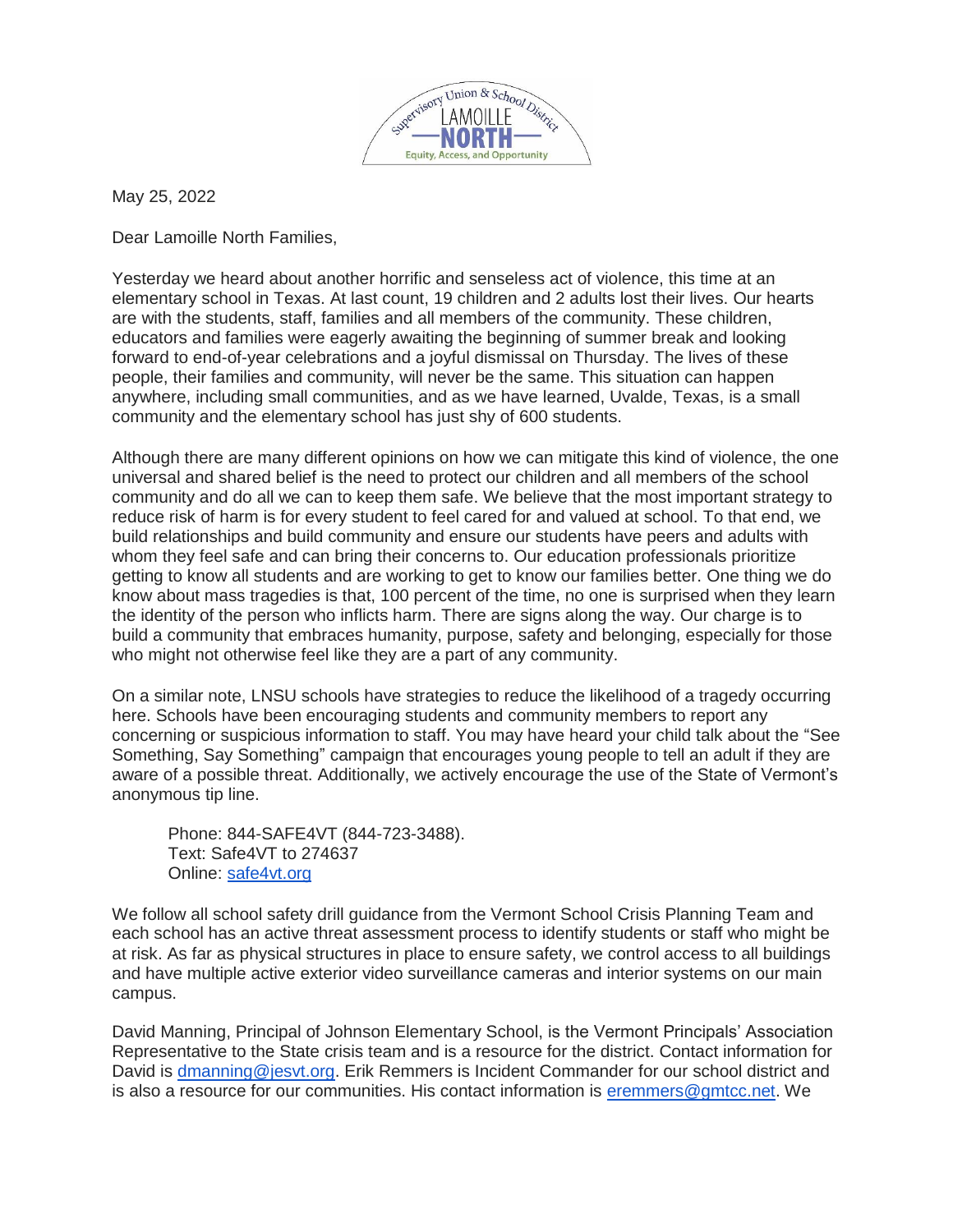

May 25, 2022

Dear Lamoille North Families,

Yesterday we heard about another horrific and senseless act of violence, this time at an elementary school in Texas. At last count, 19 children and 2 adults lost their lives. Our hearts are with the students, staff, families and all members of the community. These children, educators and families were eagerly awaiting the beginning of summer break and looking forward to end-of-year celebrations and a joyful dismissal on Thursday. The lives of these people, their families and community, will never be the same. This situation can happen anywhere, including small communities, and as we have learned, Uvalde, Texas, is a small community and the elementary school has just shy of 600 students.

Although there are many different opinions on how we can mitigate this kind of violence, the one universal and shared belief is the need to protect our children and all members of the school community and do all we can to keep them safe. We believe that the most important strategy to reduce risk of harm is for every student to feel cared for and valued at school. To that end, we build relationships and build community and ensure our students have peers and adults with whom they feel safe and can bring their concerns to. Our education professionals prioritize getting to know all students and are working to get to know our families better. One thing we do know about mass tragedies is that, 100 percent of the time, no one is surprised when they learn the identity of the person who inflicts harm. There are signs along the way. Our charge is to build a community that embraces humanity, purpose, safety and belonging, especially for those who might not otherwise feel like they are a part of any community.

On a similar note, LNSU schools have strategies to reduce the likelihood of a tragedy occurring here. Schools have been encouraging students and community members to report any concerning or suspicious information to staff. You may have heard your child talk about the "See Something, Say Something" campaign that encourages young people to tell an adult if they are aware of a possible threat. Additionally, we actively encourage the use of the State of Vermont's anonymous tip line.

Phone: 844-SAFE4VT (844-723-3488). Text: Safe4VT to 274637 Online: [safe4vt.org](http://safe4vt.org/)

We follow all school safety drill guidance from the Vermont School Crisis Planning Team and each school has an active threat assessment process to identify students or staff who might be at risk. As far as physical structures in place to ensure safety, we control access to all buildings and have multiple active exterior video surveillance cameras and interior systems on our main campus.

David Manning, Principal of Johnson Elementary School, is the Vermont Principals' Association Representative to the State crisis team and is a resource for the district. Contact information for David is [dmanning@jesvt.org.](mailto:dmanning@jesvt.org) Erik Remmers is Incident Commander for our school district and is also a resource for our communities. His contact information is [eremmers@gmtcc.net.](mailto:eremmers@gmtcc.net) We